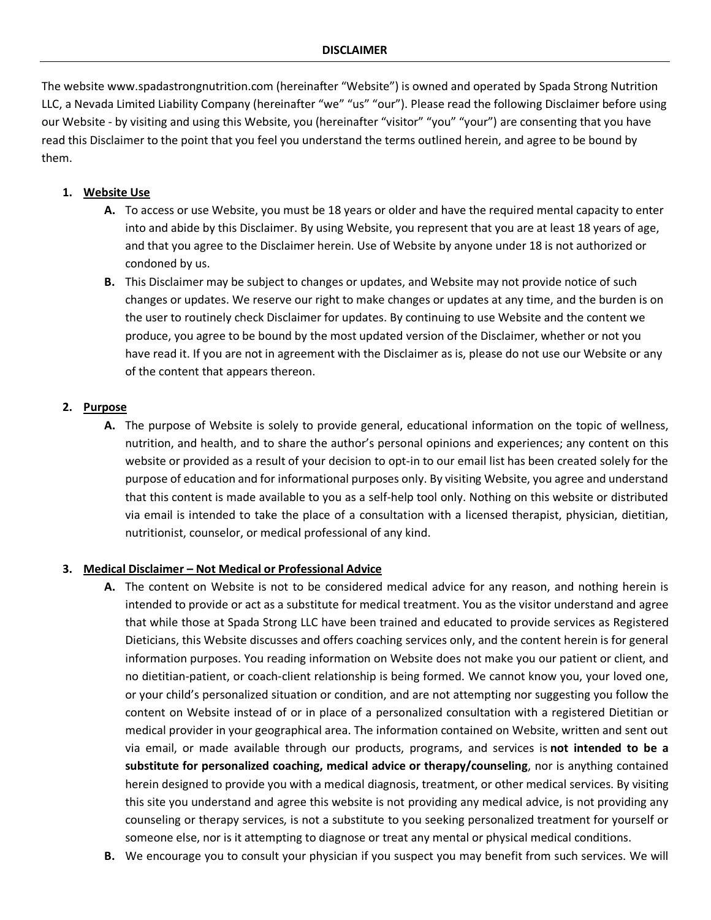The website www.spadastrongnutrition.com (hereinafter "Website") is owned and operated by Spada Strong Nutrition LLC, a Nevada Limited Liability Company (hereinafter "we" "us" "our"). Please read the following Disclaimer before using our Website - by visiting and using this Website, you (hereinafter "visitor" "you" "your") are consenting that you have read this Disclaimer to the point that you feel you understand the terms outlined herein, and agree to be bound by them.

# **1. Website Use**

- **A.** To access or use Website, you must be 18 years or older and have the required mental capacity to enter into and abide by this Disclaimer. By using Website, you represent that you are at least 18 years of age, and that you agree to the Disclaimer herein. Use of Website by anyone under 18 is not authorized or condoned by us.
- **B.** This Disclaimer may be subject to changes or updates, and Website may not provide notice of such changes or updates. We reserve our right to make changes or updates at any time, and the burden is on the user to routinely check Disclaimer for updates. By continuing to use Website and the content we produce, you agree to be bound by the most updated version of the Disclaimer, whether or not you have read it. If you are not in agreement with the Disclaimer as is, please do not use our Website or any of the content that appears thereon.

# **2. Purpose**

**A.** The purpose of Website is solely to provide general, educational information on the topic of wellness, nutrition, and health, and to share the author's personal opinions and experiences; any content on this website or provided as a result of your decision to opt-in to our email list has been created solely for the purpose of education and for informational purposes only. By visiting Website, you agree and understand that this content is made available to you as a self-help tool only. Nothing on this website or distributed via email is intended to take the place of a consultation with a licensed therapist, physician, dietitian, nutritionist, counselor, or medical professional of any kind.

# **3. Medical Disclaimer – Not Medical or Professional Advice**

- **A.** The content on Website is not to be considered medical advice for any reason, and nothing herein is intended to provide or act as a substitute for medical treatment. You as the visitor understand and agree that while those at Spada Strong LLC have been trained and educated to provide services as Registered Dieticians, this Website discusses and offers coaching services only, and the content herein is for general information purposes. You reading information on Website does not make you our patient or client, and no dietitian-patient, or coach-client relationship is being formed. We cannot know you, your loved one, or your child's personalized situation or condition, and are not attempting nor suggesting you follow the content on Website instead of or in place of a personalized consultation with a registered Dietitian or medical provider in your geographical area. The information contained on Website, written and sent out via email, or made available through our products, programs, and services is **not intended to be a substitute for personalized coaching, medical advice or therapy/counseling**, nor is anything contained herein designed to provide you with a medical diagnosis, treatment, or other medical services. By visiting this site you understand and agree this website is not providing any medical advice, is not providing any counseling or therapy services, is not a substitute to you seeking personalized treatment for yourself or someone else, nor is it attempting to diagnose or treat any mental or physical medical conditions.
- **B.** We encourage you to consult your physician if you suspect you may benefit from such services. We will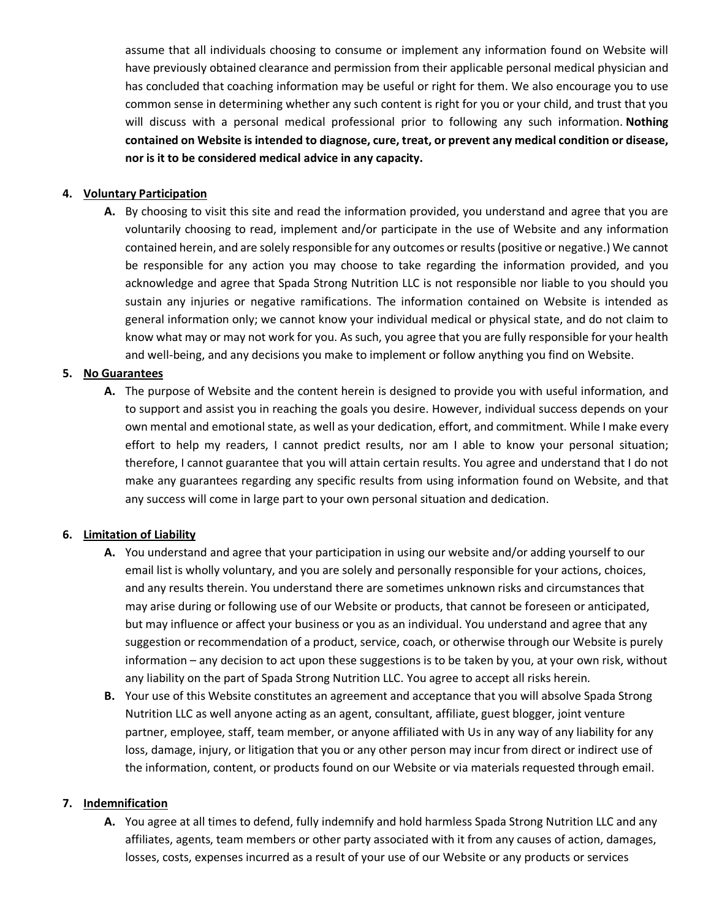assume that all individuals choosing to consume or implement any information found on Website will have previously obtained clearance and permission from their applicable personal medical physician and has concluded that coaching information may be useful or right for them. We also encourage you to use common sense in determining whether any such content is right for you or your child, and trust that you will discuss with a personal medical professional prior to following any such information. **Nothing contained on Website is intended to diagnose, cure, treat, or prevent any medical condition or disease, nor is it to be considered medical advice in any capacity.**

### **4. Voluntary Participation**

**A.** By choosing to visit this site and read the information provided, you understand and agree that you are voluntarily choosing to read, implement and/or participate in the use of Website and any information contained herein, and are solely responsible for any outcomes or results (positive or negative.) We cannot be responsible for any action you may choose to take regarding the information provided, and you acknowledge and agree that Spada Strong Nutrition LLC is not responsible nor liable to you should you sustain any injuries or negative ramifications. The information contained on Website is intended as general information only; we cannot know your individual medical or physical state, and do not claim to know what may or may not work for you. As such, you agree that you are fully responsible for your health and well-being, and any decisions you make to implement or follow anything you find on Website.

### **5. No Guarantees**

**A.** The purpose of Website and the content herein is designed to provide you with useful information, and to support and assist you in reaching the goals you desire. However, individual success depends on your own mental and emotional state, as well as your dedication, effort, and commitment. While I make every effort to help my readers, I cannot predict results, nor am I able to know your personal situation; therefore, I cannot guarantee that you will attain certain results. You agree and understand that I do not make any guarantees regarding any specific results from using information found on Website, and that any success will come in large part to your own personal situation and dedication.

### **6. Limitation of Liability**

- **A.** You understand and agree that your participation in using our website and/or adding yourself to our email list is wholly voluntary, and you are solely and personally responsible for your actions, choices, and any results therein. You understand there are sometimes unknown risks and circumstances that may arise during or following use of our Website or products, that cannot be foreseen or anticipated, but may influence or affect your business or you as an individual. You understand and agree that any suggestion or recommendation of a product, service, coach, or otherwise through our Website is purely information – any decision to act upon these suggestions is to be taken by you, at your own risk, without any liability on the part of Spada Strong Nutrition LLC. You agree to accept all risks herein.
- **B.** Your use of this Website constitutes an agreement and acceptance that you will absolve Spada Strong Nutrition LLC as well anyone acting as an agent, consultant, affiliate, guest blogger, joint venture partner, employee, staff, team member, or anyone affiliated with Us in any way of any liability for any loss, damage, injury, or litigation that you or any other person may incur from direct or indirect use of the information, content, or products found on our Website or via materials requested through email.

### **7. Indemnification**

**A.** You agree at all times to defend, fully indemnify and hold harmless Spada Strong Nutrition LLC and any affiliates, agents, team members or other party associated with it from any causes of action, damages, losses, costs, expenses incurred as a result of your use of our Website or any products or services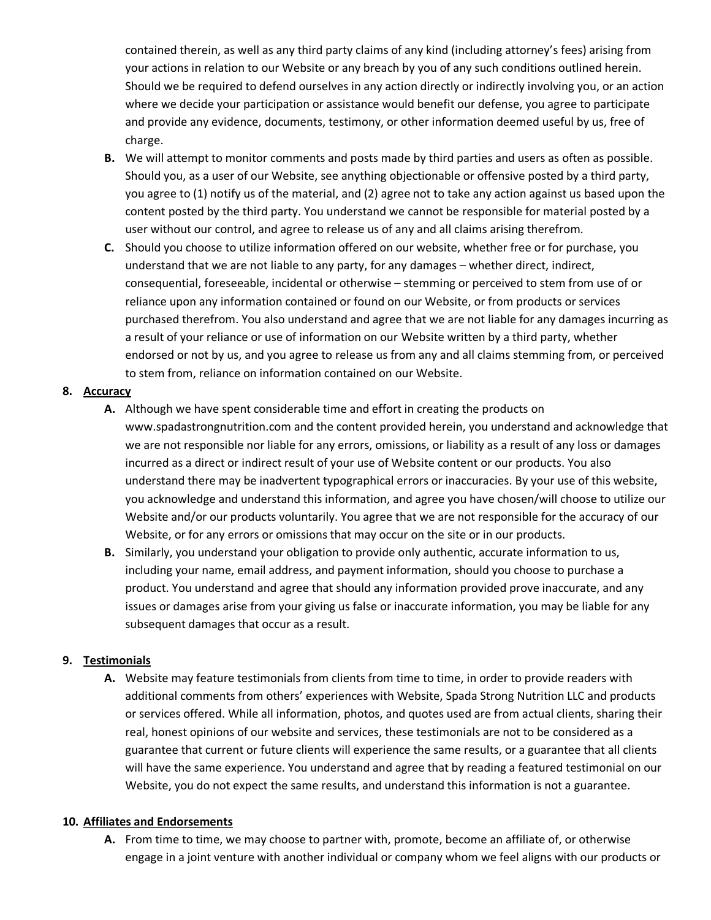contained therein, as well as any third party claims of any kind (including attorney's fees) arising from your actions in relation to our Website or any breach by you of any such conditions outlined herein. Should we be required to defend ourselves in any action directly or indirectly involving you, or an action where we decide your participation or assistance would benefit our defense, you agree to participate and provide any evidence, documents, testimony, or other information deemed useful by us, free of charge.

- **B.** We will attempt to monitor comments and posts made by third parties and users as often as possible. Should you, as a user of our Website, see anything objectionable or offensive posted by a third party, you agree to (1) notify us of the material, and (2) agree not to take any action against us based upon the content posted by the third party. You understand we cannot be responsible for material posted by a user without our control, and agree to release us of any and all claims arising therefrom.
- **C.** Should you choose to utilize information offered on our website, whether free or for purchase, you understand that we are not liable to any party, for any damages – whether direct, indirect, consequential, foreseeable, incidental or otherwise – stemming or perceived to stem from use of or reliance upon any information contained or found on our Website, or from products or services purchased therefrom. You also understand and agree that we are not liable for any damages incurring as a result of your reliance or use of information on our Website written by a third party, whether endorsed or not by us, and you agree to release us from any and all claims stemming from, or perceived to stem from, reliance on information contained on our Website.

## **8. Accuracy**

- **A.** Although we have spent considerable time and effort in creating the products on www.spadastrongnutrition.com and the content provided herein, you understand and acknowledge that we are not responsible nor liable for any errors, omissions, or liability as a result of any loss or damages incurred as a direct or indirect result of your use of Website content or our products. You also understand there may be inadvertent typographical errors or inaccuracies. By your use of this website, you acknowledge and understand this information, and agree you have chosen/will choose to utilize our Website and/or our products voluntarily. You agree that we are not responsible for the accuracy of our Website, or for any errors or omissions that may occur on the site or in our products.
- **B.** Similarly, you understand your obligation to provide only authentic, accurate information to us, including your name, email address, and payment information, should you choose to purchase a product. You understand and agree that should any information provided prove inaccurate, and any issues or damages arise from your giving us false or inaccurate information, you may be liable for any subsequent damages that occur as a result.

# **9. Testimonials**

**A.** Website may feature testimonials from clients from time to time, in order to provide readers with additional comments from others' experiences with Website, Spada Strong Nutrition LLC and products or services offered. While all information, photos, and quotes used are from actual clients, sharing their real, honest opinions of our website and services, these testimonials are not to be considered as a guarantee that current or future clients will experience the same results, or a guarantee that all clients will have the same experience. You understand and agree that by reading a featured testimonial on our Website, you do not expect the same results, and understand this information is not a guarantee.

# **10. Affiliates and Endorsements**

**A.** From time to time, we may choose to partner with, promote, become an affiliate of, or otherwise engage in a joint venture with another individual or company whom we feel aligns with our products or